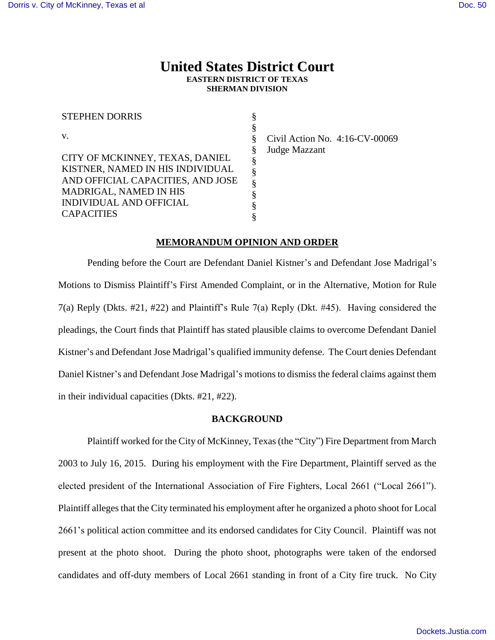# **United States District Court EASTERN DISTRICT OF TEXAS SHERMAN DIVISION**

| <b>STEPHEN DORRIS</b>             | § |
|-----------------------------------|---|
|                                   | § |
| $V_{-}$                           | § |
|                                   | § |
| CITY OF MCKINNEY, TEXAS, DANIEL   | § |
| KISTNER, NAMED IN HIS INDIVIDUAL  | § |
| AND OFFICIAL CAPACITIES, AND JOSE | § |
| MADRIGAL, NAMED IN HIS            | § |
| INDIVIDUAL AND OFFICIAL           | ş |
| <b>CAPACITIES</b>                 |   |

Civil Action No. 4:16-CV-00069 Judge Mazzant

#### **MEMORANDUM OPINION AND ORDER**

Pending before the Court are Defendant Daniel Kistner's and Defendant Jose Madrigal's Motions to Dismiss Plaintiff's First Amended Complaint, or in the Alternative, Motion for Rule 7(a) Reply (Dkts. #21, #22) and Plaintiff's Rule 7(a) Reply (Dkt. #45). Having considered the pleadings, the Court finds that Plaintiff has stated plausible claims to overcome Defendant Daniel Kistner's and Defendant Jose Madrigal's qualified immunity defense. The Court denies Defendant Daniel Kistner's and Defendant Jose Madrigal's motions to dismiss the federal claims against them in their individual capacities (Dkts. #21, #22).

#### **BACKGROUND**

Plaintiff worked for the City of McKinney, Texas (the "City") Fire Department from March 2003 to July 16, 2015. During his employment with the Fire Department, Plaintiff served as the elected president of the International Association of Fire Fighters, Local 2661 ("Local 2661"). Plaintiff alleges that the City terminated his employment after he organized a photo shoot for Local 2661's political action committee and its endorsed candidates for City Council. Plaintiff was not present at the photo shoot. During the photo shoot, photographs were taken of the endorsed candidates and off-duty members of Local 2661 standing in front of a City fire truck. No City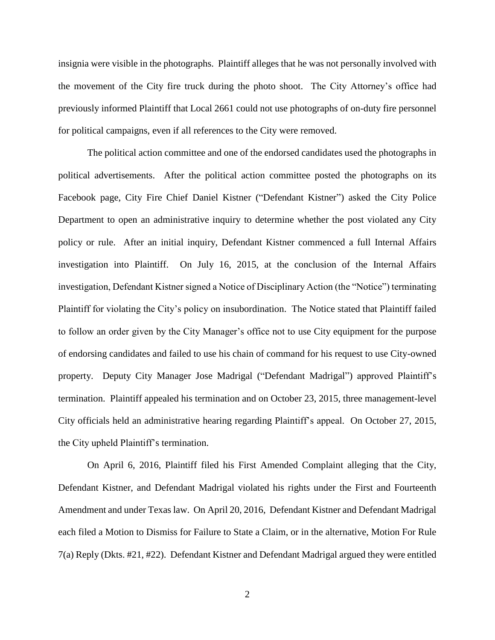insignia were visible in the photographs. Plaintiff alleges that he was not personally involved with the movement of the City fire truck during the photo shoot. The City Attorney's office had previously informed Plaintiff that Local 2661 could not use photographs of on-duty fire personnel for political campaigns, even if all references to the City were removed.

The political action committee and one of the endorsed candidates used the photographs in political advertisements. After the political action committee posted the photographs on its Facebook page, City Fire Chief Daniel Kistner ("Defendant Kistner") asked the City Police Department to open an administrative inquiry to determine whether the post violated any City policy or rule. After an initial inquiry, Defendant Kistner commenced a full Internal Affairs investigation into Plaintiff. On July 16, 2015, at the conclusion of the Internal Affairs investigation, Defendant Kistner signed a Notice of Disciplinary Action (the "Notice") terminating Plaintiff for violating the City's policy on insubordination. The Notice stated that Plaintiff failed to follow an order given by the City Manager's office not to use City equipment for the purpose of endorsing candidates and failed to use his chain of command for his request to use City-owned property. Deputy City Manager Jose Madrigal ("Defendant Madrigal") approved Plaintiff's termination. Plaintiff appealed his termination and on October 23, 2015, three management-level City officials held an administrative hearing regarding Plaintiff's appeal. On October 27, 2015, the City upheld Plaintiff's termination.

On April 6, 2016, Plaintiff filed his First Amended Complaint alleging that the City, Defendant Kistner, and Defendant Madrigal violated his rights under the First and Fourteenth Amendment and under Texas law. On April 20, 2016, Defendant Kistner and Defendant Madrigal each filed a Motion to Dismiss for Failure to State a Claim, or in the alternative, Motion For Rule 7(a) Reply (Dkts. #21, #22). Defendant Kistner and Defendant Madrigal argued they were entitled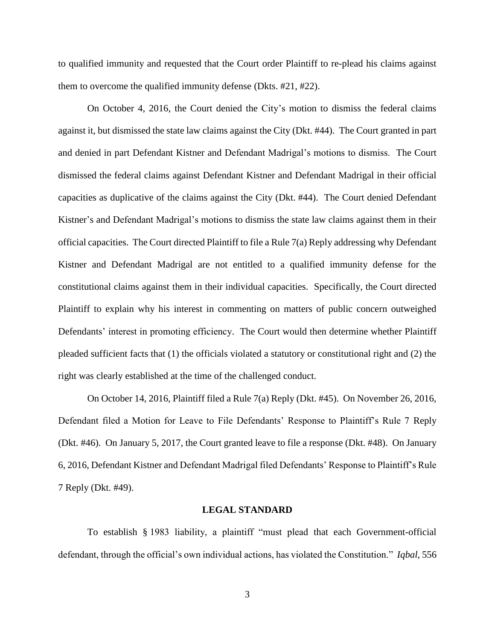to qualified immunity and requested that the Court order Plaintiff to re-plead his claims against them to overcome the qualified immunity defense (Dkts. #21, #22).

On October 4, 2016, the Court denied the City's motion to dismiss the federal claims against it, but dismissed the state law claims against the City (Dkt. #44). The Court granted in part and denied in part Defendant Kistner and Defendant Madrigal's motions to dismiss. The Court dismissed the federal claims against Defendant Kistner and Defendant Madrigal in their official capacities as duplicative of the claims against the City (Dkt. #44). The Court denied Defendant Kistner's and Defendant Madrigal's motions to dismiss the state law claims against them in their official capacities. The Court directed Plaintiff to file a Rule  $7(a)$  Reply addressing why Defendant Kistner and Defendant Madrigal are not entitled to a qualified immunity defense for the constitutional claims against them in their individual capacities. Specifically, the Court directed Plaintiff to explain why his interest in commenting on matters of public concern outweighed Defendants' interest in promoting efficiency. The Court would then determine whether Plaintiff pleaded sufficient facts that (1) the officials violated a statutory or constitutional right and (2) the right was clearly established at the time of the challenged conduct.

On October 14, 2016, Plaintiff filed a Rule 7(a) Reply (Dkt. #45). On November 26, 2016, Defendant filed a Motion for Leave to File Defendants' Response to Plaintiff's Rule 7 Reply (Dkt. #46). On January 5, 2017, the Court granted leave to file a response (Dkt. #48). On January 6, 2016, Defendant Kistner and Defendant Madrigal filed Defendants' Response to Plaintiff's Rule 7 Reply (Dkt. #49).

#### **LEGAL STANDARD**

To establish § 1983 liability, a plaintiff "must plead that each Government-official defendant, through the official's own individual actions, has violated the Constitution." *Iqbal*, 556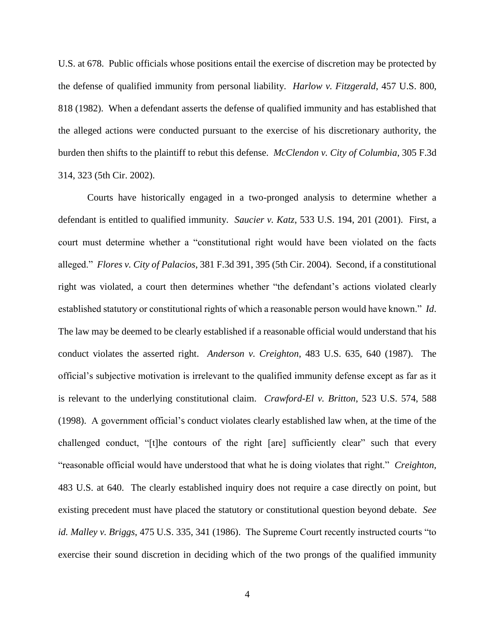U.S. at 678. Public officials whose positions entail the exercise of discretion may be protected by the defense of qualified immunity from personal liability. *Harlow v. Fitzgerald*, 457 U.S. 800, 818 (1982). When a defendant asserts the defense of qualified immunity and has established that the alleged actions were conducted pursuant to the exercise of his discretionary authority, the burden then shifts to the plaintiff to rebut this defense. *McClendon v. City of Columbia*, 305 F.3d 314, 323 (5th Cir. 2002).

Courts have historically engaged in a two-pronged analysis to determine whether a defendant is entitled to qualified immunity. *Saucier v. Katz*, 533 U.S. 194, 201 (2001). First, a court must determine whether a "constitutional right would have been violated on the facts alleged." *Flores v. City of Palacios*, 381 F.3d 391, 395 (5th Cir. 2004). Second, if a constitutional right was violated, a court then determines whether "the defendant's actions violated clearly established statutory or constitutional rights of which a reasonable person would have known." *Id*. The law may be deemed to be clearly established if a reasonable official would understand that his conduct violates the asserted right. *Anderson v. Creighton*, 483 U.S. 635, 640 (1987). The official's subjective motivation is irrelevant to the qualified immunity defense except as far as it is relevant to the underlying constitutional claim. *Crawford-El v. Britton*, 523 U.S. 574, 588 (1998). A government official's conduct violates clearly established law when, at the time of the challenged conduct, "[t]he contours of the right [are] sufficiently clear" such that every "reasonable official would have understood that what he is doing violates that right." *Creighton,* 483 U.S. at 640. The clearly established inquiry does not require a case directly on point, but existing precedent must have placed the statutory or constitutional question beyond debate. *See id. Malley v. Briggs*, 475 U.S. 335, 341 (1986). The Supreme Court recently instructed courts "to exercise their sound discretion in deciding which of the two prongs of the qualified immunity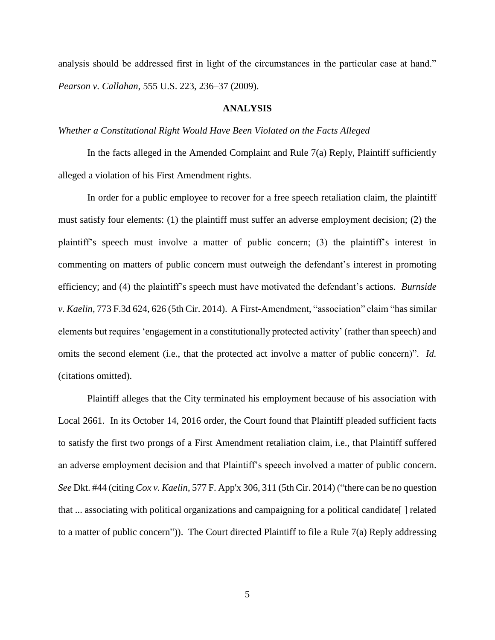analysis should be addressed first in light of the circumstances in the particular case at hand." *Pearson v. Callahan*, 555 U.S. 223, 236–37 (2009).

#### **ANALYSIS**

### *Whether a Constitutional Right Would Have Been Violated on the Facts Alleged*

In the facts alleged in the Amended Complaint and Rule 7(a) Reply, Plaintiff sufficiently alleged a violation of his First Amendment rights.

In order for a public employee to recover for a free speech retaliation claim, the plaintiff must satisfy four elements: (1) the plaintiff must suffer an adverse employment decision; (2) the plaintiff's speech must involve a matter of public concern; (3) the plaintiff's interest in commenting on matters of public concern must outweigh the defendant's interest in promoting efficiency; and (4) the plaintiff's speech must have motivated the defendant's actions. *Burnside v. Kaelin*, 773 F.3d 624, 626 (5th Cir. 2014). A First-Amendment, "association" claim "has similar elements but requires 'engagement in a constitutionally protected activity' (rather than speech) and omits the second element (i.e., that the protected act involve a matter of public concern)". *Id.*  (citations omitted).

Plaintiff alleges that the City terminated his employment because of his association with Local 2661. In its October 14, 2016 order, the Court found that Plaintiff pleaded sufficient facts to satisfy the first two prongs of a First Amendment retaliation claim, i.e., that Plaintiff suffered an adverse employment decision and that Plaintiff's speech involved a matter of public concern. *See* Dkt. #44 (citing *Cox v. Kaelin*, 577 F. App'x 306, 311 (5th Cir. 2014) ("there can be no question that ... associating with political organizations and campaigning for a political candidate[ ] related to a matter of public concern")). The Court directed Plaintiff to file a Rule  $7(a)$  Reply addressing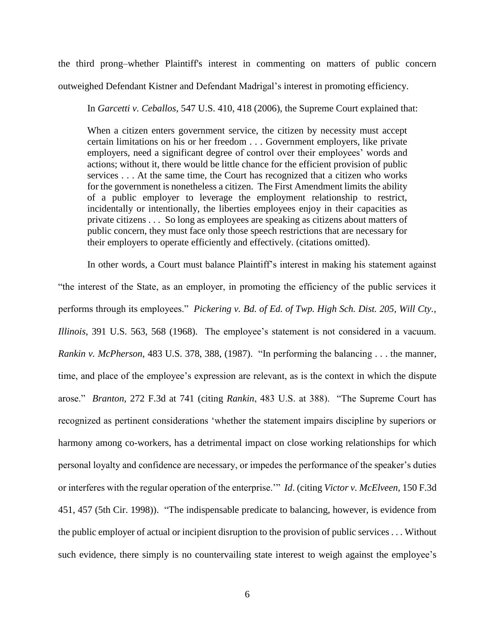the third prong–whether Plaintiff's interest in commenting on matters of public concern

outweighed Defendant Kistner and Defendant Madrigal's interest in promoting efficiency.

In *Garcetti v. Ceballos*, 547 U.S. 410, 418 (2006), the Supreme Court explained that:

When a citizen enters government service, the citizen by necessity must accept certain limitations on his or her freedom . . . Government employers, like private employers, need a significant degree of control over their employees' words and actions; without it, there would be little chance for the efficient provision of public services . . . At the same time, the Court has recognized that a citizen who works for the government is nonetheless a citizen. The First Amendment limits the ability of a public employer to leverage the employment relationship to restrict, incidentally or intentionally, the liberties employees enjoy in their capacities as private citizens . . . So long as employees are speaking as citizens about matters of public concern, they must face only those speech restrictions that are necessary for their employers to operate efficiently and effectively. (citations omitted).

In other words, a Court must balance Plaintiff's interest in making his statement against "the interest of the State, as an employer, in promoting the efficiency of the public services it performs through its employees." *Pickering v. Bd. of Ed. of Twp. High Sch. Dist. 205, Will Cty., Illinois*, 391 U.S. 563, 568 (1968). The employee's statement is not considered in a vacuum. *Rankin v. McPherson*, 483 U.S. 378, 388, (1987). "In performing the balancing . . . the manner, time, and place of the employee's expression are relevant, as is the context in which the dispute arose." *Branton*, 272 F.3d at 741 (citing *Rankin*, 483 U.S. at 388). "The Supreme Court has recognized as pertinent considerations 'whether the statement impairs discipline by superiors or harmony among co-workers, has a detrimental impact on close working relationships for which personal loyalty and confidence are necessary, or impedes the performance of the speaker's duties or interferes with the regular operation of the enterprise.'" *Id*. (citing *Victor v. McElveen*, 150 F.3d 451, 457 (5th Cir. 1998)). "The indispensable predicate to balancing, however, is evidence from the public employer of actual or incipient disruption to the provision of public services . . . Without such evidence, there simply is no countervailing state interest to weigh against the employee's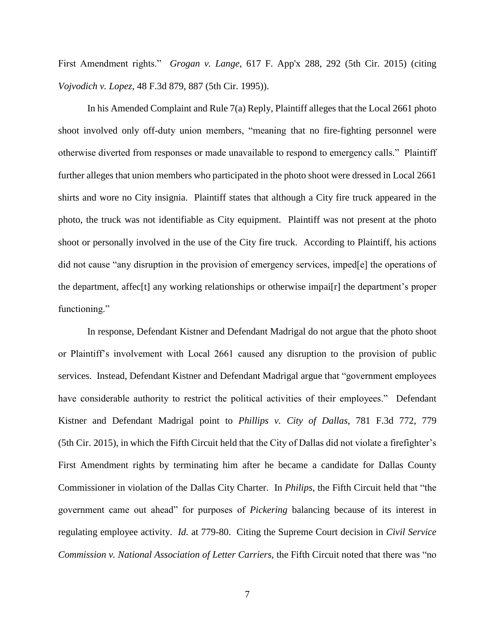First Amendment rights." *Grogan v. Lange*, 617 F. App'x 288, 292 (5th Cir. 2015) (citing *Vojvodich v. Lopez*, 48 F.3d 879, 887 (5th Cir. 1995)).

In his Amended Complaint and Rule 7(a) Reply, Plaintiff alleges that the Local 2661 photo shoot involved only off-duty union members, "meaning that no fire-fighting personnel were otherwise diverted from responses or made unavailable to respond to emergency calls." Plaintiff further alleges that union members who participated in the photo shoot were dressed in Local 2661 shirts and wore no City insignia. Plaintiff states that although a City fire truck appeared in the photo, the truck was not identifiable as City equipment. Plaintiff was not present at the photo shoot or personally involved in the use of the City fire truck. According to Plaintiff, his actions did not cause "any disruption in the provision of emergency services, imped[e] the operations of the department, affec[t] any working relationships or otherwise impai[r] the department's proper functioning."

In response, Defendant Kistner and Defendant Madrigal do not argue that the photo shoot or Plaintiff's involvement with Local 2661 caused any disruption to the provision of public services. Instead, Defendant Kistner and Defendant Madrigal argue that "government employees have considerable authority to restrict the political activities of their employees." Defendant Kistner and Defendant Madrigal point to *Phillips v. City of Dallas*, 781 F.3d 772, 779 (5th Cir. 2015), in which the Fifth Circuit held that the City of Dallas did not violate a firefighter's First Amendment rights by terminating him after he became a candidate for Dallas County Commissioner in violation of the Dallas City Charter. In *Philips*, the Fifth Circuit held that "the government came out ahead" for purposes of *Pickering* balancing because of its interest in regulating employee activity. *Id.* at 779-80. Citing the Supreme Court decision in *Civil Service Commission v. National Association of Letter Carriers*, the Fifth Circuit noted that there was "no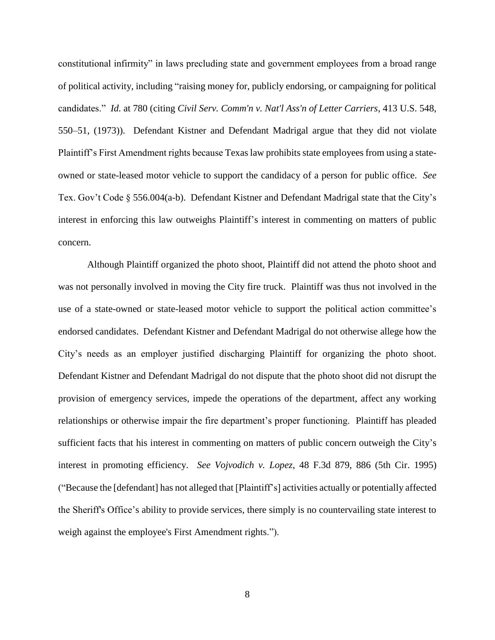constitutional infirmity" in laws precluding state and government employees from a broad range of political activity, including "raising money for, publicly endorsing, or campaigning for political candidates." *Id.* at 780 (citing *Civil Serv. Comm'n v. Nat'l Ass'n of Letter Carriers*, 413 U.S. 548, 550–51, (1973)). Defendant Kistner and Defendant Madrigal argue that they did not violate Plaintiff's First Amendment rights because Texas law prohibits state employees from using a stateowned or state-leased motor vehicle to support the candidacy of a person for public office. *See*  Tex. Gov't Code § 556.004(a-b). Defendant Kistner and Defendant Madrigal state that the City's interest in enforcing this law outweighs Plaintiff's interest in commenting on matters of public concern.

Although Plaintiff organized the photo shoot, Plaintiff did not attend the photo shoot and was not personally involved in moving the City fire truck. Plaintiff was thus not involved in the use of a state-owned or state-leased motor vehicle to support the political action committee's endorsed candidates. Defendant Kistner and Defendant Madrigal do not otherwise allege how the City's needs as an employer justified discharging Plaintiff for organizing the photo shoot. Defendant Kistner and Defendant Madrigal do not dispute that the photo shoot did not disrupt the provision of emergency services, impede the operations of the department, affect any working relationships or otherwise impair the fire department's proper functioning. Plaintiff has pleaded sufficient facts that his interest in commenting on matters of public concern outweigh the City's interest in promoting efficiency. *See Vojvodich v. Lopez*, 48 F.3d 879, 886 (5th Cir. 1995) ("Because the [defendant] has not alleged that [Plaintiff's] activities actually or potentially affected the Sheriff's Office's ability to provide services, there simply is no countervailing state interest to weigh against the employee's First Amendment rights.").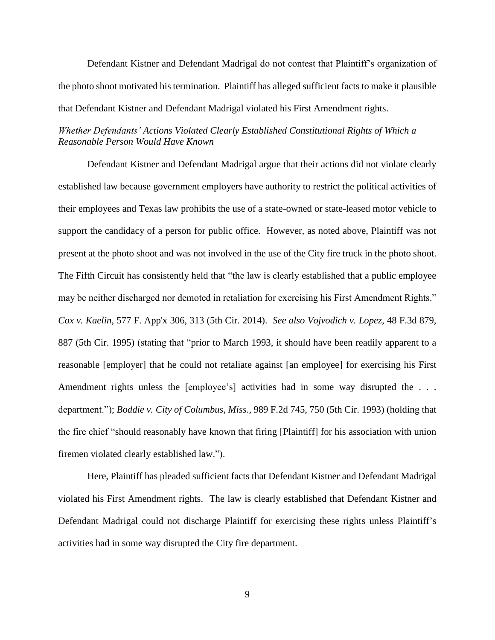Defendant Kistner and Defendant Madrigal do not contest that Plaintiff's organization of the photo shoot motivated his termination. Plaintiff has alleged sufficient facts to make it plausible that Defendant Kistner and Defendant Madrigal violated his First Amendment rights.

## *Whether Defendants' Actions Violated Clearly Established Constitutional Rights of Which a Reasonable Person Would Have Known*

Defendant Kistner and Defendant Madrigal argue that their actions did not violate clearly established law because government employers have authority to restrict the political activities of their employees and Texas law prohibits the use of a state-owned or state-leased motor vehicle to support the candidacy of a person for public office. However, as noted above, Plaintiff was not present at the photo shoot and was not involved in the use of the City fire truck in the photo shoot. The Fifth Circuit has consistently held that "the law is clearly established that a public employee may be neither discharged nor demoted in retaliation for exercising his First Amendment Rights." *Cox v. Kaelin*, 577 F. App'x 306, 313 (5th Cir. 2014). *See also Vojvodich v. Lopez*, 48 F.3d 879, 887 (5th Cir. 1995) (stating that "prior to March 1993, it should have been readily apparent to a reasonable [employer] that he could not retaliate against [an employee] for exercising his First Amendment rights unless the [employee's] activities had in some way disrupted the ... department."); *Boddie v. City of Columbus, Miss*., 989 F.2d 745, 750 (5th Cir. 1993) (holding that the fire chief "should reasonably have known that firing [Plaintiff] for his association with union firemen violated clearly established law.").

Here, Plaintiff has pleaded sufficient facts that Defendant Kistner and Defendant Madrigal violated his First Amendment rights. The law is clearly established that Defendant Kistner and Defendant Madrigal could not discharge Plaintiff for exercising these rights unless Plaintiff's activities had in some way disrupted the City fire department.